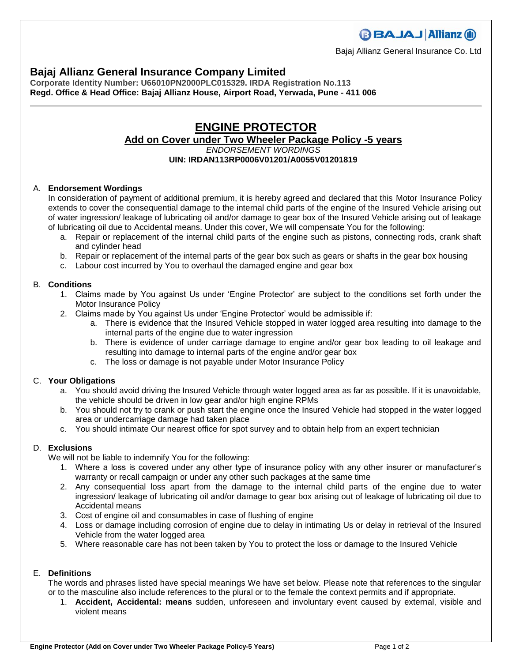# **BBAJAJ Allianz (il)**

Bajaj Allianz General Insurance Co. Ltd

### **Bajaj Allianz General Insurance Company Limited**

**Corporate Identity Number: U66010PN2000PLC015329. IRDA Registration No.113 Regd. Office & Head Office: Bajaj Allianz House, Airport Road, Yerwada, Pune - 411 006**

# **ENGINE PROTECTOR**

## **Add on Cover under Two Wheeler Package Policy -5 years**

*ENDORSEMENT WORDINGS* **UIN: IRDAN113RP0006V01201/A0055V01201819**

#### A. **Endorsement Wordings**

In consideration of payment of additional premium, it is hereby agreed and declared that this Motor Insurance Policy extends to cover the consequential damage to the internal child parts of the engine of the Insured Vehicle arising out of water ingression/ leakage of lubricating oil and/or damage to gear box of the Insured Vehicle arising out of leakage of lubricating oil due to Accidental means. Under this cover, We will compensate You for the following:

- a. Repair or replacement of the internal child parts of the engine such as pistons, connecting rods, crank shaft and cylinder head
- b. Repair or replacement of the internal parts of the gear box such as gears or shafts in the gear box housing
- c. Labour cost incurred by You to overhaul the damaged engine and gear box

#### B. **Conditions**

- 1. Claims made by You against Us under 'Engine Protector' are subject to the conditions set forth under the Motor Insurance Policy
- 2. Claims made by You against Us under 'Engine Protector' would be admissible if:
	- a. There is evidence that the Insured Vehicle stopped in water logged area resulting into damage to the internal parts of the engine due to water ingression
	- b. There is evidence of under carriage damage to engine and/or gear box leading to oil leakage and resulting into damage to internal parts of the engine and/or gear box
	- c. The loss or damage is not payable under Motor Insurance Policy

#### C. **Your Obligations**

- a. You should avoid driving the Insured Vehicle through water logged area as far as possible. If it is unavoidable, the vehicle should be driven in low gear and/or high engine RPMs
- b. You should not try to crank or push start the engine once the Insured Vehicle had stopped in the water logged area or undercarriage damage had taken place
- c. You should intimate Our nearest office for spot survey and to obtain help from an expert technician

#### D. **Exclusions**

We will not be liable to indemnify You for the following:

- 1. Where a loss is covered under any other type of insurance policy with any other insurer or manufacturer's warranty or recall campaign or under any other such packages at the same time
- 2. Any consequential loss apart from the damage to the internal child parts of the engine due to water ingression/ leakage of lubricating oil and/or damage to gear box arising out of leakage of lubricating oil due to Accidental means
- 3. Cost of engine oil and consumables in case of flushing of engine
- 4. Loss or damage including corrosion of engine due to delay in intimating Us or delay in retrieval of the Insured Vehicle from the water logged area
- 5. Where reasonable care has not been taken by You to protect the loss or damage to the Insured Vehicle

#### E. **Definitions**

The words and phrases listed have special meanings We have set below. Please note that references to the singular or to the masculine also include references to the plural or to the female the context permits and if appropriate.

1. **Accident, Accidental: means** sudden, unforeseen and involuntary event caused by external, visible and violent means